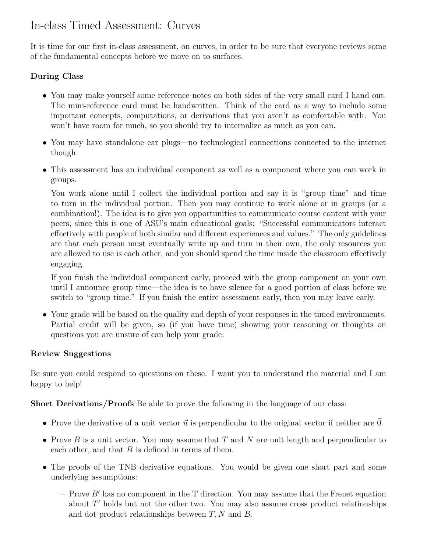## In-class Timed Assessment: Curves

It is time for our first in-class assessment, on curves, in order to be sure that everyone reviews some of the fundamental concepts before we move on to surfaces.

## During Class

- You may make yourself some reference notes on both sides of the very small card I hand out. The mini-reference card must be handwritten. Think of the card as a way to include some important concepts, computations, or derivations that you aren't as comfortable with. You won't have room for much, so you should try to internalize as much as you can.
- You may have standalone ear plugs—no technological connections connected to the internet though.
- This assessment has an individual component as well as a component where you can work in groups.

You work alone until I collect the individual portion and say it is "group time" and time to turn in the individual portion. Then you may continue to work alone or in groups (or a combination!). The idea is to give you opportunities to communicate course content with your peers, since this is one of ASU's main educational goals: "Successful communicators interact effectively with people of both similar and different experiences and values." The only guidelines are that each person must eventually write up and turn in their own, the only resources you are allowed to use is each other, and you should spend the time inside the classroom effectively engaging.

If you finish the individual component early, proceed with the group component on your own until I announce group time—the idea is to have silence for a good portion of class before we switch to "group time." If you finish the entire assessment early, then you may leave early.

• Your grade will be based on the quality and depth of your responses in the timed environments. Partial credit will be given, so (if you have time) showing your reasoning or thoughts on questions you are unsure of can help your grade.

## Review Suggestions

Be sure you could respond to questions on these. I want you to understand the material and I am happy to help!

Short Derivations/Proofs Be able to prove the following in the language of our class:

- Prove the derivative of a unit vector  $\vec{u}$  is perpendicular to the original vector if neither are 0.
- Prove B is a unit vector. You may assume that T and N are unit length and perpendicular to each other, and that  $B$  is defined in terms of them.
- The proofs of the TNB derivative equations. You would be given one short part and some underlying assumptions:
	- Prove  $B'$  has no component in the T direction. You may assume that the Frenet equation about  $T'$  holds but not the other two. You may also assume cross product relationships and dot product relationships between  $T, N$  and  $B$ .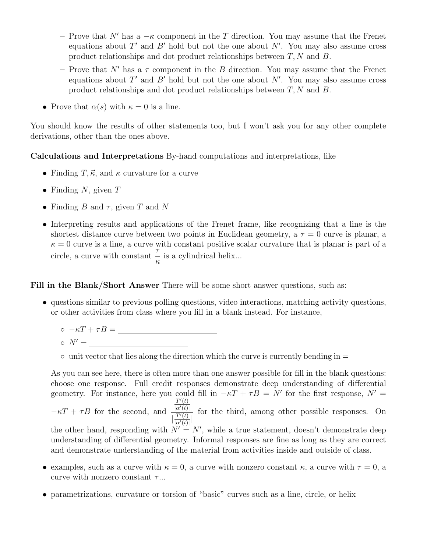- Prove that N' has a  $-\kappa$  component in the T direction. You may assume that the Frenet equations about  $T'$  and  $B'$  hold but not the one about  $N'$ . You may also assume cross product relationships and dot product relationships between  $T, N$  and  $B$ .
- Prove that N' has a  $\tau$  component in the B direction. You may assume that the Frenet equations about  $T'$  and  $B'$  hold but not the one about  $N'$ . You may also assume cross product relationships and dot product relationships between  $T, N$  and  $B$ .
- Prove that  $\alpha(s)$  with  $\kappa = 0$  is a line.

You should know the results of other statements too, but I won't ask you for any other complete derivations, other than the ones above.

Calculations and Interpretations By-hand computations and interpretations, like

- Finding T,  $\vec{\kappa}$ , and  $\kappa$  curvature for a curve
- Finding N, given  $T$
- Finding B and  $\tau$ , given T and N
- Interpreting results and applications of the Frenet frame, like recognizing that a line is the shortest distance curve between two points in Euclidean geometry, a  $\tau = 0$  curve is planar, a  $\kappa = 0$  curve is a line, a curve with constant positive scalar curvature that is planar is part of a circle, a curve with constant  $\frac{7}{7}$ κ is a cylindrical helix...

Fill in the Blank/Short Answer There will be some short answer questions, such as:

- questions similar to previous polling questions, video interactions, matching activity questions, or other activities from class where you fill in a blank instead. For instance,
	- $\circ$   $-\kappa T + \tau B =$
	- $\circ$   $N' =$

 $\circ$  unit vector that lies along the direction which the curve is currently bending in  $=$ 

As you can see here, there is often more than one answer possible for fill in the blank questions: choose one response. Full credit responses demonstrate deep understanding of differential geometry. For instance, here you could fill in  $-\kappa T + \tau B = N'$  for the first response,  $N' =$  $- \kappa T + \tau B$  for the second, and  $T'(t)$  $|\alpha'(t)|$  $\frac{T'(t)}{|\alpha'(t)|}$  $\frac{T'(t)}{|\alpha'(t)|}$ for the third, among other possible responses. On the other hand, responding with  $N' = N'$ , while a true statement, doesn't demonstrate deep understanding of differential geometry. Informal responses are fine as long as they are correct and demonstrate understanding of the material from activities inside and outside of class.

- examples, such as a curve with  $\kappa = 0$ , a curve with nonzero constant  $\kappa$ , a curve with  $\tau = 0$ , a curve with nonzero constant  $\tau$ ...
- parametrizations, curvature or torsion of "basic" curves such as a line, circle, or helix